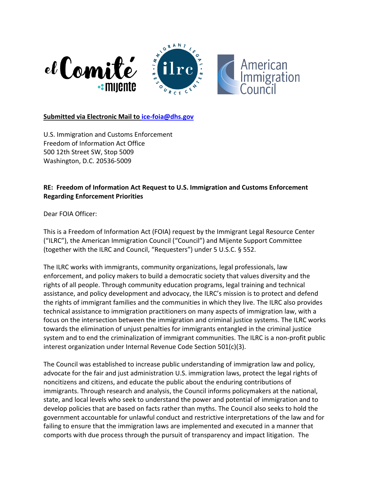

#### **Submitted via Electronic Mail to [ice-foia@dhs.gov](mailto:ice-foia@dhs.gov)**

U.S. Immigration and Customs Enforcement Freedom of Information Act Office 500 12th Street SW, Stop 5009 Washington, D.C. 20536-5009

### **RE: Freedom of Information Act Request to U.S. Immigration and Customs Enforcement Regarding Enforcement Priorities**

Dear FOIA Officer:

This is a Freedom of Information Act (FOIA) request by the Immigrant Legal Resource Center ("ILRC"), the American Immigration Council ("Council") and Mijente Support Committee (together with the ILRC and Council, "Requesters") under 5 U.S.C. § 552.

The ILRC works with immigrants, community organizations, legal professionals, law enforcement, and policy makers to build a democratic society that values diversity and the rights of all people. Through community education programs, legal training and technical assistance, and policy development and advocacy, the ILRC's mission is to protect and defend the rights of immigrant families and the communities in which they live. The ILRC also provides technical assistance to immigration practitioners on many aspects of immigration law, with a focus on the intersection between the immigration and criminal justice systems. The ILRC works towards the elimination of unjust penalties for immigrants entangled in the criminal justice system and to end the criminalization of immigrant communities. The ILRC is a non-profit public interest organization under Internal Revenue Code Section 501(c)(3).

The Council was established to increase public understanding of immigration law and policy, advocate for the fair and just administration U.S. immigration laws, protect the legal rights of noncitizens and citizens, and educate the public about the enduring contributions of immigrants. Through research and analysis, the Council informs policymakers at the national, state, and local levels who seek to understand the power and potential of immigration and to develop policies that are based on facts rather than myths. The Council also seeks to hold the government accountable for unlawful conduct and restrictive interpretations of the law and for failing to ensure that the immigration laws are implemented and executed in a manner that comports with due process through the pursuit of transparency and impact litigation.  The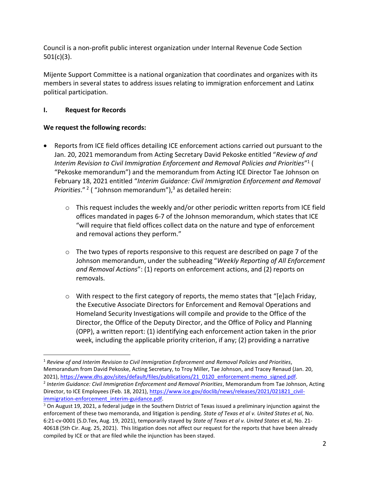Council is a non-profit public interest organization under Internal Revenue Code Section 501(c)(3).

Mijente Support Committee is a national organization that coordinates and organizes with its members in several states to address issues relating to immigration enforcement and Latinx political participation.

## **I. Request for Records**

# **We request the following records:**

- Reports from ICE field offices detailing ICE enforcement actions carried out pursuant to the Jan. 20, 2021 memorandum from Acting Secretary David Pekoske entitled "*Review of and Interim Revision to Civil Immigration Enforcement and Removal Policies and Priorities*" 1 ( "Pekoske memorandum") and the memorandum from Acting ICE Director Tae Johnson on February 18, 2021 entitled "*Interim Guidance: Civil Immigration Enforcement and Removal*  Priorities."<sup>2</sup> ("Johnson memorandum"),<sup>3</sup> as detailed herein:
	- $\circ$  This request includes the weekly and/or other periodic written reports from ICE field offices mandated in pages 6-7 of the Johnson memorandum, which states that ICE "will require that field offices collect data on the nature and type of enforcement and removal actions they perform."
	- $\circ$  The two types of reports responsive to this request are described on page 7 of the Johnson memorandum, under the subheading "*Weekly Reporting of All Enforcement and Removal Actions*": (1) reports on enforcement actions, and (2) reports on removals.
	- $\circ$  With respect to the first category of reports, the memo states that "[e]ach Friday, the Executive Associate Directors for Enforcement and Removal Operations and Homeland Security Investigations will compile and provide to the Office of the Director, the Office of the Deputy Director, and the Office of Policy and Planning (OPP), a written report: (1) identifying each enforcement action taken in the prior week, including the applicable priority criterion, if any; (2) providing a narrative

<sup>1</sup> *Review of and Interim Revision to Civil Immigration Enforcement and Removal Policies and Priorities*, Memorandum from David Pekoske, Acting Secretary, to Troy Miller, Tae Johnson, and Tracey Renaud (Jan. 20, 2021), [https://www.dhs.gov/sites/default/files/publications/21\\_0120\\_enforcement-memo\\_signed.pdf.](https://www.dhs.gov/sites/default/files/publications/21_0120_enforcement-memo_signed.pdf)

<sup>2</sup> *Interim Guidance: Civil Immigration Enforcement and Removal Priorities*, Memorandum from Tae Johnson, Acting Director, to ICE Employees (Feb. 18, 2021), [https://www.ice.gov/doclib/news/releases/2021/021821\\_civil](https://www.ice.gov/doclib/news/releases/2021/021821_civil-immigration-enforcement_interim-guidance.pdf)[immigration-enforcement\\_interim-guidance.pdf.](https://www.ice.gov/doclib/news/releases/2021/021821_civil-immigration-enforcement_interim-guidance.pdf)

 $3$  On August 19, 2021, a federal judge in the Southern District of Texas issued a preliminary injunction against the enforcement of these two memoranda, and litigation is pending. *State of Texas et al v. United States et al*, No. 6:21-cv-0001 (S.D.Tex, Aug. 19, 2021), temporarily stayed by *State of Texas et al v. United States* et al, No. 21- 40618 (5th Cir. Aug. 25, 2021). This litigation does not affect our request for the reports that have been already compiled by ICE or that are filed while the injunction has been stayed.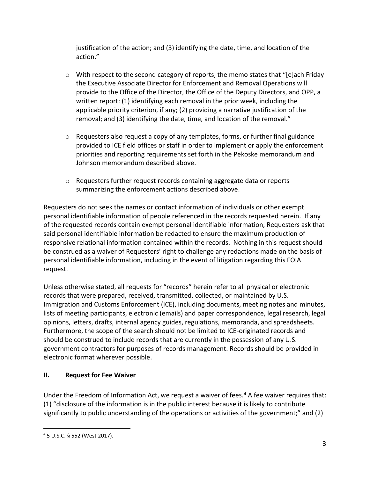justification of the action; and (3) identifying the date, time, and location of the action."

- $\circ$  With respect to the second category of reports, the memo states that "[e]ach Friday the Executive Associate Director for Enforcement and Removal Operations will provide to the Office of the Director, the Office of the Deputy Directors, and OPP, a written report: (1) identifying each removal in the prior week, including the applicable priority criterion, if any; (2) providing a narrative justification of the removal; and (3) identifying the date, time, and location of the removal."
- $\circ$  Requesters also request a copy of any templates, forms, or further final guidance provided to ICE field offices or staff in order to implement or apply the enforcement priorities and reporting requirements set forth in the Pekoske memorandum and Johnson memorandum described above.
- o Requesters further request records containing aggregate data or reports summarizing the enforcement actions described above.

Requesters do not seek the names or contact information of individuals or other exempt personal identifiable information of people referenced in the records requested herein. If any of the requested records contain exempt personal identifiable information, Requesters ask that said personal identifiable information be redacted to ensure the maximum production of responsive relational information contained within the records. Nothing in this request should be construed as a waiver of Requesters' right to challenge any redactions made on the basis of personal identifiable information, including in the event of litigation regarding this FOIA request.

Unless otherwise stated, all requests for "records" herein refer to all physical or electronic records that were prepared, received, transmitted, collected, or maintained by U.S. Immigration and Customs Enforcement (ICE), including documents, meeting notes and minutes, lists of meeting participants, electronic (emails) and paper correspondence, legal research, legal opinions, letters, drafts, internal agency guides, regulations, memoranda, and spreadsheets. Furthermore, the scope of the search should not be limited to ICE-originated records and should be construed to include records that are currently in the possession of any U.S. government contractors for purposes of records management. Records should be provided in electronic format wherever possible.

### **II. Request for Fee Waiver**

Under the Freedom of Information Act, we request a waiver of fees.<sup>4</sup> A fee waiver requires that: (1) "disclosure of the information is in the public interest because it is likely to contribute significantly to public understanding of the operations or activities of the government;" and (2)

<sup>4</sup> 5 U.S.C. § 552 (West 2017).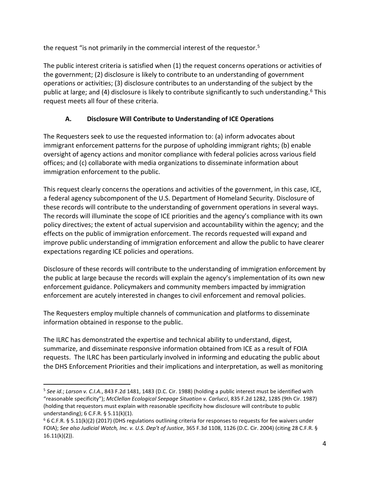the request "is not primarily in the commercial interest of the requestor.<sup>5</sup>

The public interest criteria is satisfied when (1) the request concerns operations or activities of the government; (2) disclosure is likely to contribute to an understanding of government operations or activities; (3) disclosure contributes to an understanding of the subject by the public at large; and (4) disclosure is likely to contribute significantly to such understanding.<sup>6</sup> This request meets all four of these criteria.

# **A. Disclosure Will Contribute to Understanding of ICE Operations**

The Requesters seek to use the requested information to: (a) inform advocates about immigrant enforcement patterns for the purpose of upholding immigrant rights; (b) enable oversight of agency actions and monitor compliance with federal policies across various field offices; and (c) collaborate with media organizations to disseminate information about immigration enforcement to the public.

This request clearly concerns the operations and activities of the government, in this case, ICE, a federal agency subcomponent of the U.S. Department of Homeland Security. Disclosure of these records will contribute to the understanding of government operations in several ways. The records will illuminate the scope of ICE priorities and the agency's compliance with its own policy directives; the extent of actual supervision and accountability within the agency; and the effects on the public of immigration enforcement. The records requested will expand and improve public understanding of immigration enforcement and allow the public to have clearer expectations regarding ICE policies and operations.

Disclosure of these records will contribute to the understanding of immigration enforcement by the public at large because the records will explain the agency's implementation of its own new enforcement guidance. Policymakers and community members impacted by immigration enforcement are acutely interested in changes to civil enforcement and removal policies.

The Requesters employ multiple channels of communication and platforms to disseminate information obtained in response to the public.

The ILRC has demonstrated the expertise and technical ability to understand, digest, summarize, and disseminate responsive information obtained from ICE as a result of FOIA requests. The ILRC has been particularly involved in informing and educating the public about the DHS Enforcement Priorities and their implications and interpretation, as well as monitoring

<sup>5</sup> *See id.*; *Larson v. C.I.A.*, 843 F.2d 1481, 1483 (D.C. Cir. 1988) (holding a public interest must be identified with "reasonable specificity"); *McClellan Ecological Seepage Situation v. Carlucci*, 835 F.2d 1282, 1285 (9th Cir. 1987) (holding that requestors must explain with reasonable specificity how disclosure will contribute to public understanding); 6 C.F.R. § 5.11(k)(1).

 $6$  6 C.F.R. § 5.11(k)(2) (2017) (DHS regulations outlining criteria for responses to requests for fee waivers under FOIA); *See also Judicial Watch, Inc. v. U.S. Dep't of Justice*, 365 F.3d 1108, 1126 (D.C. Cir. 2004) (citing 28 C.F.R. § 16.11(k)(2)).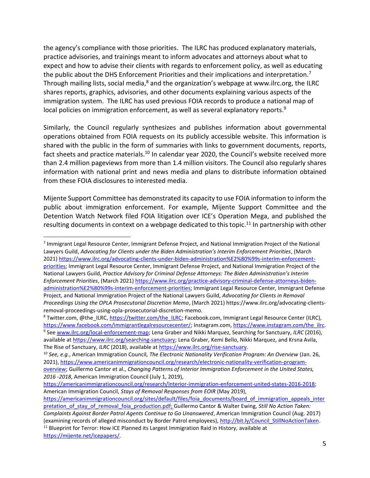the agency's compliance with those priorities. The ILRC has produced explanatory materials, practice advisories, and trainings meant to inform advocates and attorneys about what to expect and how to advise their clients with regards to enforcement policy, as well as educating the public about the DHS Enforcement Priorities and their implications and interpretation.<sup>7</sup> Through mailing lists, social media, $<sup>8</sup>$  and the organization's webpage at www.ilrc.org, the ILRC</sup> shares reports, graphics, advisories, and other documents explaining various aspects of the immigration system. The ILRC has used previous FOIA records to produce a national map of local policies on immigration enforcement, as well as several explanatory reports.<sup>9</sup>

Similarly, the Council regularly synthesizes and publishes information about governmental operations obtained from FOIA requests on its publicly accessible website. This information is shared with the public in the form of summaries with links to government documents, reports, fact sheets and practice materials.<sup>10</sup> In calendar year 2020, the Council's website received more than 2.4 million pageviews from more than 1.4 million visitors. The Council also regularly shares information with national print and news media and plans to distribute information obtained from these FOIA disclosures to interested media.

Mijente Support Committee has demonstrated its capacity to use FOIA information to inform the public about immigration enforcement. For example, Mijente Support Committee and the Detention Watch Network filed FOIA litigation over ICE's Operation Mega, and published the resulting documents in context on a webpage dedicated to this topic.<sup>11</sup> In partnership with other

<sup>7</sup> Immigrant Legal Resource Center, Immigrant Defense Project, and National Immigration Project of the National Lawyers Guild, *Advocating for Clients under the Biden Administration's Interim Enforcement Priorities*, (March 2021[\) https://www.ilrc.org/advocating-clients-under-biden-administration%E2%80%99s-interim-enforcement](https://www.ilrc.org/advocating-clients-under-biden-administration%E2%80%99s-interim-enforcement-priorities)[priorities;](https://www.ilrc.org/advocating-clients-under-biden-administration%E2%80%99s-interim-enforcement-priorities) Immigrant Legal Resource Center, Immigrant Defense Project, and National Immigration Project of the National Lawyers Guild, *Practice Advisory for Criminal Defense Attorneys: The Biden Administration's Interim Enforcement Priorities*, (March 2021) [https://www.ilrc.org/practice-advisory-criminal-defense-attorneys-biden](https://www.ilrc.org/practice-advisory-criminal-defense-attorneys-biden-administration%E2%80%99s-interim-enforcement-priorities)[administration%E2%80%99s-interim-enforcement-priorities;](https://www.ilrc.org/practice-advisory-criminal-defense-attorneys-biden-administration%E2%80%99s-interim-enforcement-priorities) Immigrant Legal Resource Center, Immigrant Defense Project, and National Immigration Project of the National Lawyers Guild, *Advocating for Clients in Removal Proceedings Using the OPLA Prosecutorial Discretion Memo*, (March 2021) https://www.ilrc.org/advocating-clientsremoval-proceedings-using-opla-prosecutorial-discretion-memo.

<sup>8</sup> Twitter.com, @the\_ILRC[, https://twitter.com/the\\_ILRC;](https://twitter.com/the_ILRC) Facebook.com, Immigrant Legal Resource Center (ILRC), [https://www.facebook.com/immigrantlegalresourcecenter/;](https://www.facebook.com/immigrantlegalresourcecenter/) Instagram.com, [https://www.instagram.com/the\\_ilrc.](https://www.instagram.com/the_ilrc) 9 See [www.ilrc.org/local-enforcement-map;](http://www.ilrc.org/local-enforcement-map) Lena Graber and Nikki Marquez, Searching for Sanctuary, *ILRC* (2016), available a[t https://www.ilrc.org/searching-sanctuary;](https://www.ilrc.org/searching-sanctuary) Lena Graber, Kemi Bello, Nikki Marquez, and Krsna Avila, The Rise of Sanctuary, *ILRC* (2018), available at [https://www.ilrc.org/rise-sanctuary.](https://www.ilrc.org/rise-sanctuary)

[https://americanimmigrationcouncil.org/research/interior-immigration-enforcement-united-states-2016-2018;](https://americanimmigrationcouncil.org/research/interior-immigration-enforcement-united-states-2016-2018) American Immigration Council, *Stays of Removal Responses from EOIR* (May 2019),

<sup>10</sup> *See, e.g.*, American Immigration Council, *The Electronic Nationality Verification Program: An Overview* (Jan. 26, 2021), [https://www.americanimmigrationcouncil.org/research/electronic-nationality-verification-program](https://www.americanimmigrationcouncil.org/research/electronic-nationality-verification-program-overview)[overview;](https://www.americanimmigrationcouncil.org/research/electronic-nationality-verification-program-overview) Guillermo Cantor et al., *Changing Patterns of Interior Immigration Enforcement in the United States, 2016 -2018*, American Immigration Council (July 1, 2019),

[https://americanimmigrationcouncil.org/sites/default/files/foia\\_documents/board\\_of\\_immigration\\_appeals\\_inter](https://americanimmigrationcouncil.org/sites/default/files/foia_documents/board_of_immigration_appeals_interpretation_of_stay_of_removal_foia_production.pdf) pretation of stay of removal foia production.pdf; Guillermo Cantor & Walter Ewing, *Still No Action Taken:* 

*Complaints Against Border Patrol Agents Continue to Go Unanswered*, American Immigration Council (Aug. 2017) (examining records of alleged misconduct by Border Patrol employees), [http://bit.ly/Council\\_StillNoActionTaken.](http://bit.ly/Council_StillNoActionTaken)  $11$  Blueprint for Terror: How ICE Planned its Largest Immigration Raid in History, available at [https://mijente.net/icepapers/.](https://mijente.net/icepapers/)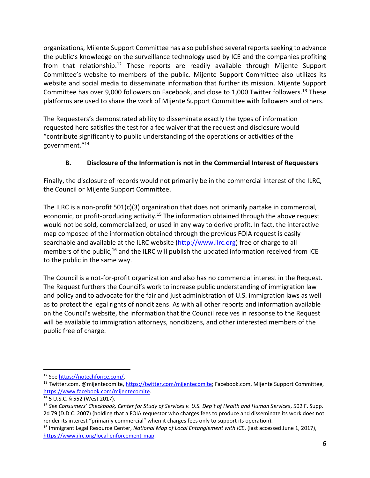organizations, Mijente Support Committee has also published several reports seeking to advance the public's knowledge on the surveillance technology used by ICE and the companies profiting from that relationship.<sup>12</sup> These reports are readily available through Mijente Support Committee's website to members of the public. Mijente Support Committee also utilizes its website and social media to disseminate information that further its mission. Mijente Support Committee has over 9,000 followers on Facebook, and close to 1,000 Twitter followers.<sup>13</sup> These platforms are used to share the work of Mijente Support Committee with followers and others.

The Requesters's demonstrated ability to disseminate exactly the types of information requested here satisfies the test for a fee waiver that the request and disclosure would "contribute significantly to public understanding of the operations or activities of the government."<sup>14</sup>

# **B. Disclosure of the Information is not in the Commercial Interest of Requesters**

Finally, the disclosure of records would not primarily be in the commercial interest of the ILRC, the Council or Mijente Support Committee.

The ILRC is a non-profit 501(c)(3) organization that does not primarily partake in commercial, economic, or profit-producing activity.<sup>15</sup> The information obtained through the above request would not be sold, commercialized, or used in any way to derive profit. In fact, the interactive map composed of the information obtained through the previous FOIA request is easily searchable and available at the ILRC website [\(http://www.ilrc.org\)](http://www.ilrc.org/) free of charge to all members of the public,<sup>16</sup> and the ILRC will publish the updated information received from ICE to the public in the same way.

The Council is a not-for-profit organization and also has no commercial interest in the Request. The Request furthers the Council's work to increase public understanding of immigration law and policy and to advocate for the fair and just administration of U.S. immigration laws as well as to protect the legal rights of noncitizens. As with all other reports and information available on the Council's website, the information that the Council receives in response to the Request will be available to immigration attorneys, noncitizens, and other interested members of the public free of charge.

<sup>12</sup> Se[e https://notechforice.com/.](https://notechforice.com/)

<sup>&</sup>lt;sup>13</sup> Twitter.com, @mijentecomite, [https://twitter.com/mijentecomite;](https://twitter.com/mijentecomite) Facebook.com, Mijente Support Committee, [https://www.facebook.com/mijentecomite.](https://www.facebook.com/mijentecomite)

<sup>14</sup> 5 U.S.C. § 552 (West 2017).

<sup>15</sup> *See Consumers' Checkbook, Center for Study of Services v. U.S. Dep't of Health and Human Services*, 502 F. Supp. 2d 79 (D.D.C. 2007) (holding that a FOIA requestor who charges fees to produce and disseminate its work does not render its interest "primarily commercial" when it charges fees only to support its operation).

<sup>16</sup> Immigrant Legal Resource Center, *National Map of Local Entanglement with ICE*, (last accessed June 1, 2017), [https://www.ilrc.org/local-enforcement-map.](https://www.ilrc.org/local-enforcement-map)